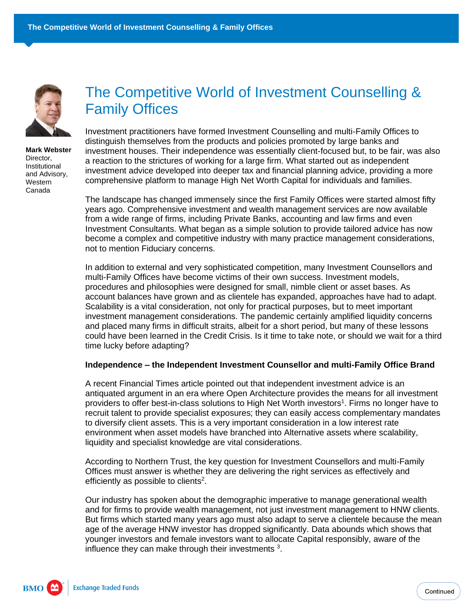

**Mark Webster** Director, Institutional and Advisory, Western Canada

# The Competitive World of Investment Counselling & Family Offices

Investment practitioners have formed Investment Counselling and multi-Family Offices to distinguish themselves from the products and policies promoted by large banks and investment houses. Their independence was essentially client-focused but, to be fair, was also a reaction to the strictures of working for a large firm. What started out as independent investment advice developed into deeper tax and financial planning advice, providing a more comprehensive platform to manage High Net Worth Capital for individuals and families.

The landscape has changed immensely since the first Family Offices were started almost fifty years ago. Comprehensive investment and wealth management services are now available from a wide range of firms, including Private Banks, accounting and law firms and even Investment Consultants. What began as a simple solution to provide tailored advice has now become a complex and competitive industry with many practice management considerations, not to mention Fiduciary concerns.

In addition to external and very sophisticated competition, many Investment Counsellors and multi-Family Offices have become victims of their own success. Investment models, procedures and philosophies were designed for small, nimble client or asset bases. As account balances have grown and as clientele has expanded, approaches have had to adapt. Scalability is a vital consideration, not only for practical purposes, but to meet important investment management considerations. The pandemic certainly amplified liquidity concerns and placed many firms in difficult straits, albeit for a short period, but many of these lessons could have been learned in the Credit Crisis. Is it time to take note, or should we wait for a third time lucky before adapting?

#### **Independence – the Independent Investment Counsellor and multi-Family Office Brand**

A recent Financial Times article pointed out that independent investment advice is an antiquated argument in an era where Open Architecture provides the means for all investment providers to offer best-in-class solutions to High Net Worth investors<sup>1</sup>. Firms no longer have to recruit talent to provide specialist exposures; they can easily access complementary mandates to diversify client assets. This is a very important consideration in a low interest rate environment when asset models have branched into Alternative assets where scalability, liquidity and specialist knowledge are vital considerations.

According to Northern Trust, the key question for Investment Counsellors and multi-Family Offices must answer is whether they are delivering the right services as effectively and efficiently as possible to clients<sup>2</sup>.

Our industry has spoken about the demographic imperative to manage generational wealth and for firms to provide wealth management, not just investment management to HNW clients. But firms which started many years ago must also adapt to serve a clientele because the mean age of the average HNW investor has dropped significantly. Data abounds which shows that younger investors and female investors want to allocate Capital responsibly, aware of the influence they can make through their investments<sup>3</sup>.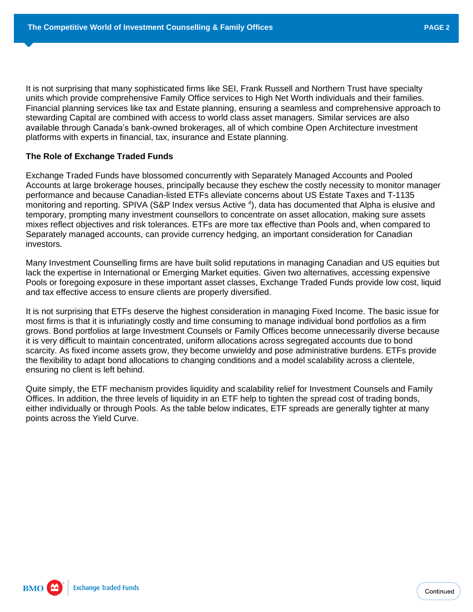It is not surprising that many sophisticated firms like SEI, Frank Russell and Northern Trust have specialty units which provide comprehensive Family Office services to High Net Worth individuals and their families. Financial planning services like tax and Estate planning, ensuring a seamless and comprehensive approach to stewarding Capital are combined with access to world class asset managers. Similar services are also available through Canada's bank-owned brokerages, all of which combine Open Architecture investment platforms with experts in financial, tax, insurance and Estate planning.

### **The Role of Exchange Traded Funds**

Exchange Traded Funds have blossomed concurrently with Separately Managed Accounts and Pooled Accounts at large brokerage houses, principally because they eschew the costly necessity to monitor manager performance and because Canadian-listed ETFs alleviate concerns about US Estate Taxes and T-1135 monitoring and reporting. SPIVA (S&P Index versus Active <sup>4</sup>), data has documented that Alpha is elusive and temporary, prompting many investment counsellors to concentrate on asset allocation, making sure assets mixes reflect objectives and risk tolerances. ETFs are more tax effective than Pools and, when compared to Separately managed accounts, can provide currency hedging, an important consideration for Canadian investors.

Many Investment Counselling firms are have built solid reputations in managing Canadian and US equities but lack the expertise in International or Emerging Market equities. Given two alternatives, accessing expensive Pools or foregoing exposure in these important asset classes, Exchange Traded Funds provide low cost, liquid and tax effective access to ensure clients are properly diversified.

It is not surprising that ETFs deserve the highest consideration in managing Fixed Income. The basic issue for most firms is that it is infuriatingly costly and time consuming to manage individual bond portfolios as a firm grows. Bond portfolios at large Investment Counsels or Family Offices become unnecessarily diverse because it is very difficult to maintain concentrated, uniform allocations across segregated accounts due to bond scarcity. As fixed income assets grow, they become unwieldy and pose administrative burdens. ETFs provide the flexibility to adapt bond allocations to changing conditions and a model scalability across a clientele, ensuring no client is left behind.

Quite simply, the ETF mechanism provides liquidity and scalability relief for Investment Counsels and Family Offices. In addition, the three levels of liquidity in an ETF help to tighten the spread cost of trading bonds, either individually or through Pools. As the table below indicates, ETF spreads are generally tighter at many points across the Yield Curve.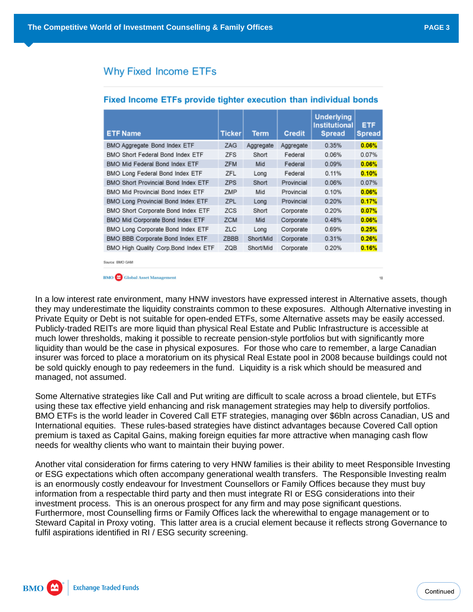18

## **Why Fixed Income ETFs**

| <b>ETF Name</b>                            | <b>Ticker</b> | Term      | <b>Credit</b> | <b>Underlying</b><br><b>Institutional</b><br><b>Spread</b> | ETF<br><b>Spread</b> |
|--------------------------------------------|---------------|-----------|---------------|------------------------------------------------------------|----------------------|
| BMO Aggregate Bond Index ETF               | ZAG           | Aggregate | Aggregate     | 0.35%                                                      | 0.06%                |
| BMO Short Federal Bond Index ETF           | <b>ZFS</b>    | Short     | Federal       | 0.06%                                                      | 0.07%                |
| BMO Mid Federal Bond Index ETF             | <b>ZFM</b>    | Mid       | Federal       | 0.09%                                                      | 0.06%                |
| BMO Long Federal Bond Index ETF            | ZFL           | Long      | Federal       | 0.11%                                                      | 0.10%                |
| <b>BMO Short Provincial Bond Index ETF</b> | <b>ZPS</b>    | Short     | Provincial    | 0.06%                                                      | 0.07%                |
| BMO Mid Provincial Bond Index ETF          | ZMP           | Mid       | Provincial    | 0.10%                                                      | 0.06%                |
| BMO Long Provincial Bond Index ETF         | ZPL           | Long      | Provincial    | 0.20%                                                      | 0.17%                |
| BMO Short Corporate Bond Index ETF         | <b>ZCS</b>    | Short     | Corporate     | 0.20%                                                      | 0.07%                |
| BMO Mid Corporate Bond Index ETF           | <b>ZCM</b>    | Mid       | Corporate     | 0.48%                                                      | 0.06%                |
| BMO Long Corporate Bond Index ETF          | <b>ZLC</b>    | Long      | Corporate     | 0.69%                                                      | 0.25%                |
| BMO BBB Corporate Bond Index ETF           | ZBBB          | Short/Mid | Corporate     | 0.31%                                                      | 0.26%                |
| BMO High Quality Corp.Bond Index ETF       | ZQB           | Short/Mid | Corporate     | 0.20%                                                      | 0.16%                |

### Fixed Income ETFs provide tighter execution than individual bonds

Source: RMO GAM

**BMO** Global Asset Management

In a low interest rate environment, many HNW investors have expressed interest in Alternative assets, though they may underestimate the liquidity constraints common to these exposures. Although Alternative investing in Private Equity or Debt is not suitable for open-ended ETFs, some Alternative assets may be easily accessed. Publicly-traded REITs are more liquid than physical Real Estate and Public Infrastructure is accessible at much lower thresholds, making it possible to recreate pension-style portfolios but with significantly more liquidity than would be the case in physical exposures. For those who care to remember, a large Canadian insurer was forced to place a moratorium on its physical Real Estate pool in 2008 because buildings could not be sold quickly enough to pay redeemers in the fund. Liquidity is a risk which should be measured and managed, not assumed.

Some Alternative strategies like Call and Put writing are difficult to scale across a broad clientele, but ETFs using these tax effective yield enhancing and risk management strategies may help to diversify portfolios. BMO ETFs is the world leader in Covered Call ETF strategies, managing over \$6bln across Canadian, US and International equities. These rules-based strategies have distinct advantages because Covered Call option premium is taxed as Capital Gains, making foreign equities far more attractive when managing cash flow needs for wealthy clients who want to maintain their buying power.

Another vital consideration for firms catering to very HNW families is their ability to meet Responsible Investing or ESG expectations which often accompany generational wealth transfers. The Responsible Investing realm is an enormously costly endeavour for Investment Counsellors or Family Offices because they must buy information from a respectable third party and then must integrate RI or ESG considerations into their investment process. This is an onerous prospect for any firm and may pose significant questions. Furthermore, most Counselling firms or Family Offices lack the wherewithal to engage management or to Steward Capital in Proxy voting. This latter area is a crucial element because it reflects strong Governance to fulfil aspirations identified in RI / ESG security screening.

**BMO Exchange Traded Funds**